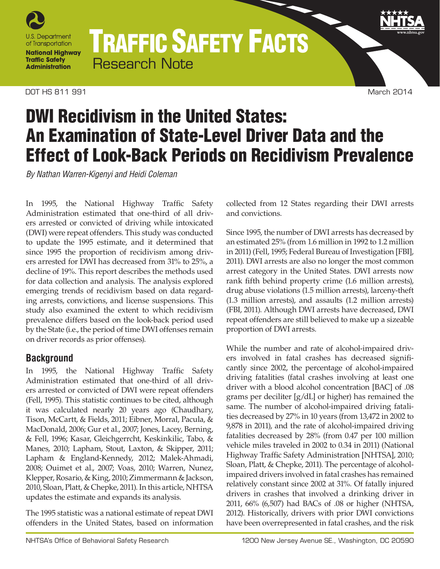

TRAFFIC SAFETY FACTS Research Note

DOT HS 811 991 March 2014

# DWI Recidivism in the United States: An Examination of State-Level Driver Data and the Effect of Look-Back Periods on Recidivism Prevalence

*By Nathan Warren-Kigenyi and Heidi Coleman*

In 1995, the National Highway Traffic Safety Administration estimated that one-third of all drivers arrested or convicted of driving while intoxicated (DWI) were repeat offenders. This study was conducted to update the 1995 estimate, and it determined that since 1995 the proportion of recidivism among drivers arrested for DWI has decreased from 31% to 25%, a decline of 19%. This report describes the methods used for data collection and analysis. The analysis explored emerging trends of recidivism based on data regarding arrests, convictions, and license suspensions. This study also examined the extent to which recidivism prevalence differs based on the look-back period used by the State (i.e., the period of time DWI offenses remain on driver records as prior offenses).

# **Background**

In 1995, the National Highway Traffic Safety Administration estimated that one-third of all drivers arrested or convicted of DWI were repeat offenders (Fell, 1995). This statistic continues to be cited, although it was calculated nearly 20 years ago (Chaudhary, Tison, McCartt, & Fields, 2011; Eibner, Morral, Pacula, & MacDonald, 2006; Gur et al., 2007; Jones, Lacey, Berning, & Fell, 1996; Kasar, Gleichgerrcht, Keskinkilic, Tabo, & Manes, 2010; Lapham, Stout, Laxton, & Skipper, 2011; Lapham & England-Kennedy, 2012; Malek-Ahmadi, 2008; Ouimet et al., 2007; Voas, 2010; Warren, Nunez, Klepper, Rosario, & King, 2010; Zimmermann & Jackson, 2010, Sloan, Platt, & Chepke, 2011). In this article, NHTSA updates the estimate and expands its analysis.

The 1995 statistic was a national estimate of repeat DWI offenders in the United States, based on information collected from 12 States regarding their DWI arrests and convictions.

Since 1995, the number of DWI arrests has decreased by an estimated 25% (from 1.6 million in 1992 to 1.2 million in 2011) (Fell, 1995; Federal Bureau of Investigation [FBI], 2011). DWI arrests are also no longer the most common arrest category in the United States. DWI arrests now rank fifth behind property crime (1.6 million arrests), drug abuse violations (1.5 million arrests), larceny-theft (1.3 million arrests), and assaults (1.2 million arrests) (FBI, 2011). Although DWI arrests have decreased, DWI repeat offenders are still believed to make up a sizeable proportion of DWI arrests.

While the number and rate of alcohol-impaired drivers involved in fatal crashes has decreased significantly since 2002, the percentage of alcohol-impaired driving fatalities (fatal crashes involving at least one driver with a blood alcohol concentration [BAC] of .08 grams per deciliter [g/dL] or higher) has remained the same. The number of alcohol-impaired driving fatalities decreased by 27% in 10 years (from 13,472 in 2002 to 9,878 in 2011), and the rate of alcohol-impaired driving fatalities decreased by 28% (from 0.47 per 100 million vehicle miles traveled in 2002 to 0.34 in 2011) (National Highway Traffic Safety Administration [NHTSA], 2010; Sloan, Platt, & Chepke, 2011). The percentage of alcoholimpaired drivers involved in fatal crashes has remained relatively constant since 2002 at 31%. Of fatally injured drivers in crashes that involved a drinking driver in 2011, 66% (6,507) had BACs of .08 or higher (NHTSA, 2012). Historically, drivers with prior DWI convictions have been overrepresented in fatal crashes, and the risk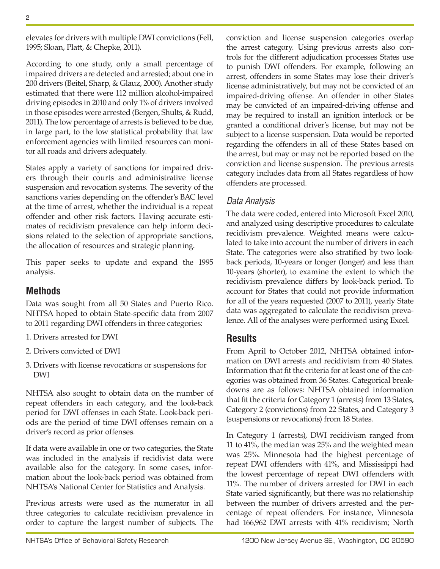elevates for drivers with multiple DWI convictions (Fell, 1995; Sloan, Platt, & Chepke, 2011).

According to one study, only a small percentage of impaired drivers are detected and arrested; about one in 200 drivers (Beitel, Sharp, & Glauz, 2000). Another study estimated that there were 112 million alcohol-impaired driving episodes in 2010 and only 1% of drivers involved in those episodes were arrested (Bergen, Shults, & Rudd, 2011). The low percentage of arrests is believed to be due, in large part, to the low statistical probability that law enforcement agencies with limited resources can monitor all roads and drivers adequately.

States apply a variety of sanctions for impaired drivers through their courts and administrative license suspension and revocation systems. The severity of the sanctions varies depending on the offender's BAC level at the time of arrest, whether the individual is a repeat offender and other risk factors. Having accurate estimates of recidivism prevalence can help inform decisions related to the selection of appropriate sanctions, the allocation of resources and strategic planning.

This paper seeks to update and expand the 1995 analysis.

# **Methods**

Data was sought from all 50 States and Puerto Rico. NHTSA hoped to obtain State-specific data from 2007 to 2011 regarding DWI offenders in three categories:

- 1. Drivers arrested for DWI
- 2. Drivers convicted of DWI
- 3. Drivers with license revocations or suspensions for DWI

NHTSA also sought to obtain data on the number of repeat offenders in each category, and the look-back period for DWI offenses in each State. Look-back periods are the period of time DWI offenses remain on a driver's record as prior offenses.

If data were available in one or two categories, the State was included in the analysis if recidivist data were available also for the category. In some cases, information about the look-back period was obtained from NHTSA's National Center for Statistics and Analysis.

Previous arrests were used as the numerator in all three categories to calculate recidivism prevalence in order to capture the largest number of subjects. The conviction and license suspension categories overlap the arrest category. Using previous arrests also controls for the different adjudication processes States use to punish DWI offenders. For example, following an arrest, offenders in some States may lose their driver's license administratively, but may not be convicted of an impaired-driving offense. An offender in other States may be convicted of an impaired-driving offense and may be required to install an ignition interlock or be granted a conditional driver's license, but may not be subject to a license suspension. Data would be reported regarding the offenders in all of these States based on the arrest, but may or may not be reported based on the conviction and license suspension. The previous arrests category includes data from all States regardless of how offenders are processed.

# *Data Analysis*

The data were coded, entered into Microsoft Excel 2010, and analyzed using descriptive procedures to calculate recidivism prevalence. Weighted means were calculated to take into account the number of drivers in each State. The categories were also stratified by two lookback periods, 10-years or longer (longer) and less than 10-years (shorter), to examine the extent to which the recidivism prevalence differs by look-back period. To account for States that could not provide information for all of the years requested (2007 to 2011), yearly State data was aggregated to calculate the recidivism prevalence. All of the analyses were performed using Excel.

# **Results**

From April to October 2012, NHTSA obtained information on DWI arrests and recidivism from 40 States. Information that fit the criteria for at least one of the categories was obtained from 36 States. Categorical breakdowns are as follows: NHTSA obtained information that fit the criteria for Category 1 (arrests) from 13 States, Category 2 (convictions) from 22 States, and Category 3 (suspensions or revocations) from 18 States.

In Category 1 (arrests), DWI recidivism ranged from 11 to 41%, the median was 25% and the weighted mean was 25%. Minnesota had the highest percentage of repeat DWI offenders with 41%, and Mississippi had the lowest percentage of repeat DWI offenders with 11%. The number of drivers arrested for DWI in each State varied significantly, but there was no relationship between the number of drivers arrested and the percentage of repeat offenders. For instance, Minnesota had 166,962 DWI arrests with 41% recidivism; North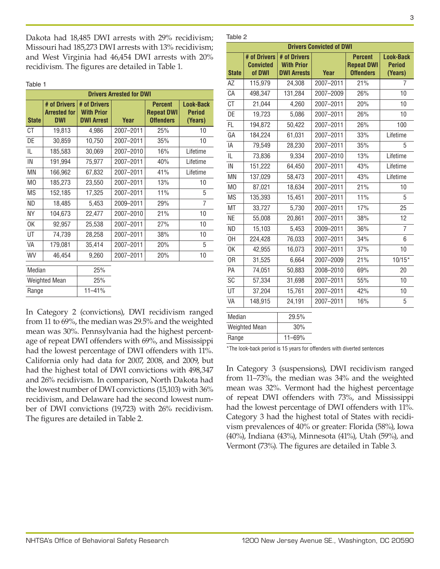Dakota had 18,485 DWI arrests with 29% recidivism; Missouri had 185,273 DWI arrests with 13% recidivism; and West Virginia had 46,454 DWI arrests with 20% recidivism. The figures are detailed in Table 1.

Table 1

| <b>Drivers Arrested for DWI</b> |                                                   |                                                        |           |                                                         |                                              |
|---------------------------------|---------------------------------------------------|--------------------------------------------------------|-----------|---------------------------------------------------------|----------------------------------------------|
| <b>State</b>                    | # of Drivers<br><b>Arrested for</b><br><b>DWI</b> | # of Drivers<br><b>With Prior</b><br><b>DWI Arrest</b> | Year      | <b>Percent</b><br><b>Repeat DWI</b><br><b>Offenders</b> | <b>Look-Back</b><br><b>Period</b><br>(Years) |
| СT                              | 19,813                                            | 4,986                                                  | 2007-2011 | 25%                                                     | 10                                           |
| DE                              | 30,859                                            | 10,750                                                 | 2007-2011 | 35%                                                     | 10                                           |
| IL                              | 185,583                                           | 30,069                                                 | 2007-2010 | 16%                                                     | Lifetime                                     |
| IN                              | 191,994                                           | 75,977                                                 | 2007-2011 | 40%                                                     | Lifetime                                     |
| <b>MN</b>                       | 166,962                                           | 67,832                                                 | 2007-2011 | 41%                                                     | Lifetime                                     |
| M <sub>0</sub>                  | 185,273                                           | 23,550                                                 | 2007-2011 | 13%                                                     | 10                                           |
| <b>MS</b>                       | 152,185                                           | 17,325                                                 | 2007-2011 | 11%                                                     | 5                                            |
| <b>ND</b>                       | 18,485                                            | 5,453                                                  | 2009-2011 | 29%                                                     | $\overline{7}$                               |
| <b>NY</b>                       | 104,673                                           | 22,477                                                 | 2007-2010 | 21%                                                     | 10                                           |
| 0K                              | 92,957                                            | 25,538                                                 | 2007-2011 | 27%                                                     | 10                                           |
| UT                              | 74,739                                            | 28,258                                                 | 2007-2011 | 38%                                                     | 10                                           |
| VA                              | 179,081                                           | 35,414                                                 | 2007-2011 | 20%                                                     | 5                                            |
| WV                              | 46,454                                            | 9,260                                                  | 2007-2011 | 20%                                                     | 10                                           |
| Median                          |                                                   | 25%                                                    |           |                                                         |                                              |
|                                 | <b>Weighted Mean</b>                              | 25%                                                    |           |                                                         |                                              |
| Range                           |                                                   | $11 - 41%$                                             |           |                                                         |                                              |

In Category 2 (convictions), DWI recidivism ranged from 11 to 69%, the median was 29.5% and the weighted mean was 30%. Pennsylvania had the highest percentage of repeat DWI offenders with 69%, and Mississippi had the lowest percentage of DWI offenders with 11%. California only had data for 2007, 2008, and 2009, but had the highest total of DWI convictions with 498,347 and 26% recidivism. In comparison, North Dakota had the lowest number of DWI convictions (15,103) with 36% recidivism, and Delaware had the second lowest number of DWI convictions (19,723) with 26% recidivism. The figures are detailed in Table 2.

#### Table 2

| <b>Drivers Convicted of DWI</b> |                                            |                                                         |           |                                                         |                                              |  |
|---------------------------------|--------------------------------------------|---------------------------------------------------------|-----------|---------------------------------------------------------|----------------------------------------------|--|
| <b>State</b>                    | # of Drivers<br><b>Convicted</b><br>of DWI | # of Drivers<br><b>With Prior</b><br><b>DWI Arrests</b> | Year      | <b>Percent</b><br><b>Repeat DWI</b><br><b>Offenders</b> | <b>Look-Back</b><br><b>Period</b><br>(Years) |  |
| AZ                              | 115,979                                    | 24,308                                                  | 2007-2011 | 21%                                                     | 7                                            |  |
| CA                              | 498,347                                    | 131,284                                                 | 2007-2009 | 26%                                                     | 10                                           |  |
| <b>CT</b>                       | 21,044                                     | 4,260                                                   | 2007-2011 | 20%                                                     | 10                                           |  |
| DE                              | 19,723                                     | 5,086                                                   | 2007-2011 | 26%                                                     | 10                                           |  |
| FL.                             | 194,872                                    | 50,422                                                  | 2007-2011 | 26%                                                     | 100                                          |  |
| GA                              | 184,224                                    | 61,031                                                  | 2007-2011 | 33%                                                     | Lifetime                                     |  |
| IA                              | 79,549                                     | 28,230                                                  | 2007-2011 | 35%                                                     | 5                                            |  |
| IL                              | 73,836                                     | 9,334                                                   | 2007-2010 | 13%                                                     | Lifetime                                     |  |
| $\sf IN$                        | 151,222                                    | 64,450                                                  | 2007-2011 | 43%                                                     | Lifetime                                     |  |
| <b>MN</b>                       | 137,029                                    | 58,473                                                  | 2007-2011 | 43%                                                     | Lifetime                                     |  |
| M <sub>0</sub>                  | 87,021                                     | 18,634                                                  | 2007-2011 | 21%                                                     | 10                                           |  |
| <b>MS</b>                       | 135,393                                    | 15,451                                                  | 2007-2011 | 11%                                                     | 5                                            |  |
| MT                              | 33,727                                     | 5,730                                                   | 2007-2011 | 17%                                                     | 25                                           |  |
| <b>NE</b>                       | 55,008                                     | 20,861                                                  | 2007-2011 | 38%                                                     | 12                                           |  |
| <b>ND</b>                       | 15,103                                     | 5,453                                                   | 2009-2011 | 36%                                                     | 7                                            |  |
| OH                              | 224,428                                    | 76,033                                                  | 2007-2011 | 34%                                                     | 6                                            |  |
| 0K                              | 42,955                                     | 16,073                                                  | 2007-2011 | 37%                                                     | 10                                           |  |
| 0R                              | 31,525                                     | 6,664                                                   | 2007-2009 | 21%                                                     | $10/15*$                                     |  |
| PA                              | 74,051                                     | 50,883                                                  | 2008-2010 | 69%                                                     | 20                                           |  |
| SC                              | 57,334                                     | 31,698                                                  | 2007-2011 | 55%                                                     | 10                                           |  |
| UT                              | 37,204                                     | 15,761                                                  | 2007-2011 | 42%                                                     | 10                                           |  |
| VA                              | 148,915                                    | 24,191                                                  | 2007-2011 | 16%                                                     | 5                                            |  |
| Median                          |                                            | 29.5%                                                   |           |                                                         |                                              |  |

| Median        | 29.5%      |
|---------------|------------|
| Weighted Mean | 30%        |
| Range         | $11 - 69%$ |

\*The look-back period is 15 years for offenders with diverted sentences

In Category 3 (suspensions), DWI recidivism ranged from 11–73%, the median was 34% and the weighted mean was 32%. Vermont had the highest percentage of repeat DWI offenders with 73%, and Mississippi had the lowest percentage of DWI offenders with 11%. Category 3 had the highest total of States with recidivism prevalences of 40% or greater: Florida (58%), Iowa (40%), Indiana (43%), Minnesota (41%), Utah (59%), and Vermont (73%). The figures are detailed in Table 3.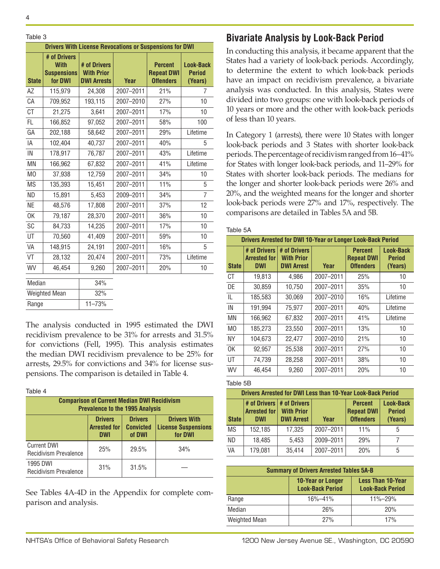#### 4

| Table 3        |                                                              |                                                                |           |                                                         |                                              |
|----------------|--------------------------------------------------------------|----------------------------------------------------------------|-----------|---------------------------------------------------------|----------------------------------------------|
|                |                                                              | <b>Drivers With License Revocations or Suspensions for DWI</b> |           |                                                         |                                              |
| <b>State</b>   | # of Drivers<br><b>With</b><br><b>Suspensions</b><br>for DWI | # of Drivers<br><b>With Prior</b><br><b>DWI Arrests</b>        | Year      | <b>Percent</b><br><b>Repeat DWI</b><br><b>Offenders</b> | <b>Look-Back</b><br><b>Period</b><br>(Years) |
| AΖ             | 115,979                                                      | 24,308                                                         | 2007-2011 | 21%                                                     | 7                                            |
| CA             | 709,952                                                      | 193,115                                                        | 2007-2010 | 27%                                                     | 10                                           |
| <b>CT</b>      | 21,275                                                       | 3.641                                                          | 2007-2011 | 17%                                                     | 10                                           |
| FL             | 166,852                                                      | 97.052                                                         | 2007-2011 | 58%                                                     | 100                                          |
| GA             | 202,188                                                      | 58,642                                                         | 2007-2011 | 29%                                                     | Lifetime                                     |
| IA             | 102,404                                                      | 40,737                                                         | 2007-2011 | 40%                                                     | 5                                            |
| IN             | 178,917                                                      | 76,787                                                         | 2007-2011 | 43%                                                     | Lifetime                                     |
| ΜN             | 166,962                                                      | 67,832                                                         | 2007-2011 | 41%                                                     | Lifetime                                     |
| M <sub>O</sub> | 37,938                                                       | 12,759                                                         | 2007-2011 | 34%                                                     | 10                                           |
| <b>MS</b>      | 135,393                                                      | 15,451                                                         | 2007-2011 | 11%                                                     | 5                                            |
| <b>ND</b>      | 15,891                                                       | 5,453                                                          | 2009-2011 | 34%                                                     | $\overline{7}$                               |
| ΝE             | 48,576                                                       | 17,808                                                         | 2007-2011 | 37%                                                     | 12                                           |
| 0K             | 79,187                                                       | 28,370                                                         | 2007-2011 | 36%                                                     | 10                                           |
| SC             | 84,733                                                       | 14,235                                                         | 2007-2011 | 17%                                                     | 10                                           |
| UT             | 70,560                                                       | 41,409                                                         | 2007-2011 | 59%                                                     | 10                                           |
| VA             | 148,915                                                      | 24,191                                                         | 2007-2011 | 16%                                                     | 5                                            |
| VT             | 28,132                                                       | 20,474                                                         | 2007-2011 | 73%                                                     | Lifetime                                     |
| WV             | 46,454                                                       | 9,260                                                          | 2007-2011 | 20%                                                     | 10                                           |
| Median         |                                                              | 34%                                                            |           |                                                         |                                              |
|                | <b>Weighted Mean</b>                                         | 32%                                                            |           |                                                         |                                              |
| Range          |                                                              | $11 - 73%$                                                     |           |                                                         |                                              |

The analysis conducted in 1995 estimated the DWI recidivism prevalence to be 31% for arrests and 31.5% for convictions (Fell, 1995). This analysis estimates the median DWI recidivism prevalence to be 25% for arrests, 29.5% for convictions and 34% for license suspensions. The comparison is detailed in Table 4.

#### Table 4

| <b>Comparison of Current Median DWI Recidivism</b><br><b>Prevalence to the 1995 Analysis</b> |                                                                                                                                                                     |       |     |  |  |  |  |
|----------------------------------------------------------------------------------------------|---------------------------------------------------------------------------------------------------------------------------------------------------------------------|-------|-----|--|--|--|--|
|                                                                                              | <b>Drivers</b><br><b>Drivers</b><br><b>Drivers With</b><br><b>Arrested for</b><br><b>Convicted</b><br><b>License Suspensions</b><br>for DWI<br>of DWI<br><b>DWI</b> |       |     |  |  |  |  |
| <b>Current DWI</b><br>Recidivism Prevalence                                                  | 25%                                                                                                                                                                 | 29.5% | 34% |  |  |  |  |
| 1995 DWI<br>Recidivism Prevalence                                                            | 31%                                                                                                                                                                 | 31.5% |     |  |  |  |  |

See Tables 4A-4D in the Appendix for complete comparison and analysis.

# **Bivariate Analysis by Look-Back Period**

In conducting this analysis, it became apparent that the States had a variety of look-back periods. Accordingly, to determine the extent to which look-back periods have an impact on recidivism prevalence, a bivariate analysis was conducted. In this analysis, States were divided into two groups: one with look-back periods of 10 years or more and the other with look-back periods of less than 10 years.

In Category 1 (arrests), there were 10 States with longer look-back periods and 3 States with shorter look-back periods. The percentage of recidivism ranged from 16–41% for States with longer look-back periods, and 11–29% for States with shorter look-back periods. The medians for the longer and shorter look-back periods were 26% and 20%, and the weighted means for the longer and shorter look-back periods were 27% and 17%, respectively. The comparisons are detailed in Tables 5A and 5B.

#### Table 5A

|                | <b>Drivers Arrested for DWI 10-Year or Longer Look-Back Period</b> |                                                        |           |                                                         |                                |  |
|----------------|--------------------------------------------------------------------|--------------------------------------------------------|-----------|---------------------------------------------------------|--------------------------------|--|
| <b>State</b>   | # of Drivers<br><b>Arrested for</b><br><b>DWI</b>                  | # of Drivers<br><b>With Prior</b><br><b>DWI Arrest</b> | Year      | <b>Percent</b><br><b>Repeat DWI</b><br><b>Offenders</b> | Look-Back<br>Period<br>(Years) |  |
| <b>CT</b>      | 19,813                                                             | 4,986                                                  | 2007-2011 | 25%                                                     | 10                             |  |
| DE             | 30,859                                                             | 10,750                                                 | 2007-2011 | 35%                                                     | 10                             |  |
| IL             | 185,583                                                            | 30,069                                                 | 2007-2010 | 16%                                                     | Lifetime                       |  |
| IN             | 191,994                                                            | 75.977                                                 | 2007-2011 | 40%                                                     | Lifetime                       |  |
| ΜN             | 166,962                                                            | 67,832                                                 | 2007-2011 | 41%                                                     | Lifetime                       |  |
| M <sub>0</sub> | 185,273                                                            | 23.550                                                 | 2007-2011 | 13%                                                     | 10                             |  |
| <b>NY</b>      | 104.673                                                            | 22.477                                                 | 2007-2010 | 21%                                                     | 10                             |  |
| 0K             | 92,957                                                             | 25.538                                                 | 2007-2011 | 27%                                                     | 10                             |  |
| UT             | 74,739                                                             | 28,258                                                 | 2007-2011 | 38%                                                     | 10                             |  |
| WV             | 46,454                                                             | 9,260                                                  | 2007-2011 | 20%                                                     | 10                             |  |

#### Table 5B

| <b>Drivers Arrested for DWI Less than 10-Year Look-Back Period</b> |                                                                    |                                        |           |                                                         |                                              |  |
|--------------------------------------------------------------------|--------------------------------------------------------------------|----------------------------------------|-----------|---------------------------------------------------------|----------------------------------------------|--|
| <b>State</b>                                                       | # of Drivers   # of Drivers<br><b>Arrested for  </b><br><b>DWI</b> | <b>With Prior</b><br><b>DWI Arrest</b> | Year      | <b>Percent</b><br><b>Repeat DWI</b><br><b>Offenders</b> | <b>Look-Back</b><br><b>Period</b><br>(Years) |  |
| <b>MS</b>                                                          | 152,185                                                            | 17,325                                 | 2007-2011 | 11%                                                     | 5                                            |  |
| <b>ND</b>                                                          | 18.485                                                             | 5.453                                  | 2009-2011 | 29%                                                     |                                              |  |
| <b>VA</b>                                                          | 179,081                                                            | 35,414                                 | 2007-2011 | 20%                                                     | 5                                            |  |

| <b>Summary of Drivers Arrested Tables 5A-B</b> |                                                                                                            |               |  |  |  |  |  |
|------------------------------------------------|------------------------------------------------------------------------------------------------------------|---------------|--|--|--|--|--|
|                                                | <b>Less Than 10-Year</b><br><b>10-Year or Longer</b><br><b>Look-Back Period</b><br><b>Look-Back Period</b> |               |  |  |  |  |  |
| Range                                          | $16\% - 41\%$                                                                                              | $11\% - 29\%$ |  |  |  |  |  |
| Median                                         | 26%                                                                                                        | 20%           |  |  |  |  |  |
| <b>Weighted Mean</b>                           | 27%                                                                                                        | 17%           |  |  |  |  |  |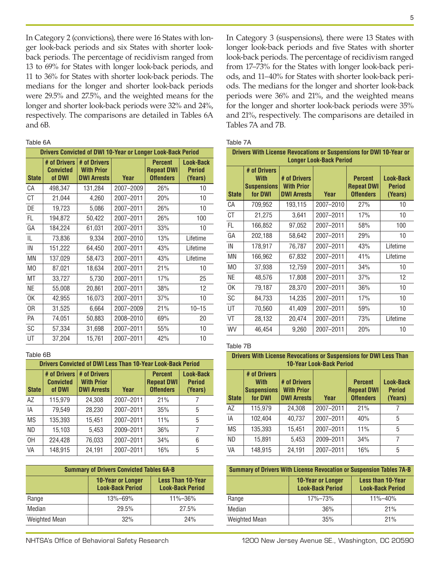In Category 2 (convictions), there were 16 States with longer look-back periods and six States with shorter lookback periods. The percentage of recidivism ranged from 13 to 69% for States with longer look-back periods, and 11 to 36% for States with shorter look-back periods. The medians for the longer and shorter look-back periods were 29.5% and 27.5%, and the weighted means for the longer and shorter look-back periods were 32% and 24%, respectively. The comparisons are detailed in Tables 6A and 6B.

Table 6A

|                | <b>Drivers Convicted of DWI 10-Year or Longer Look-Back Period</b> |                                                         |           |                                                         |                                              |  |  |
|----------------|--------------------------------------------------------------------|---------------------------------------------------------|-----------|---------------------------------------------------------|----------------------------------------------|--|--|
| <b>State</b>   | # of Drivers<br><b>Convicted</b><br>of DWI                         | # of Drivers<br><b>With Prior</b><br><b>DWI Arrests</b> | Year      | <b>Percent</b><br><b>Repeat DWI</b><br><b>Offenders</b> | <b>Look-Back</b><br><b>Period</b><br>(Years) |  |  |
| CA             | 498,347                                                            | 131,284                                                 | 2007-2009 | 26%                                                     | 10                                           |  |  |
| СT             | 21,044                                                             | 4,260                                                   | 2007-2011 | 20%                                                     | 10                                           |  |  |
| DE             | 19,723                                                             | 5,086                                                   | 2007-2011 | 26%                                                     | 10                                           |  |  |
| FL.            | 194,872                                                            | 50,422                                                  | 2007-2011 | 26%                                                     | 100                                          |  |  |
| GA             | 184,224                                                            | 61,031                                                  | 2007-2011 | 33%                                                     | 10                                           |  |  |
| IL.            | 73,836                                                             | 9,334                                                   | 2007-2010 | 13%                                                     | Lifetime                                     |  |  |
| IN             | 151,222                                                            | 64,450                                                  | 2007-2011 | 43%                                                     | Lifetime                                     |  |  |
| MN             | 137,029                                                            | 58,473                                                  | 2007-2011 | 43%                                                     | Lifetime                                     |  |  |
| M <sub>0</sub> | 87,021                                                             | 18,634                                                  | 2007-2011 | 21%                                                     | 10                                           |  |  |
| MT             | 33,727                                                             | 5,730                                                   | 2007-2011 | 17%                                                     | 25                                           |  |  |
| <b>NE</b>      | 55,008                                                             | 20,861                                                  | 2007-2011 | 38%                                                     | 12                                           |  |  |
| 0K             | 42,955                                                             | 16,073                                                  | 2007-2011 | 37%                                                     | 10                                           |  |  |
| 0R             | 31,525                                                             | 6,664                                                   | 2007-2009 | 21%                                                     | $10 - 15$                                    |  |  |
| PA             | 74,051                                                             | 50,883                                                  | 2008-2010 | 69%                                                     | 20                                           |  |  |
| SC             | 57,334                                                             | 31,698                                                  | 2007-2011 | 55%                                                     | 10                                           |  |  |
| UT             | 37,204                                                             | 15,761                                                  | 2007-2011 | 42%                                                     | 10                                           |  |  |

#### Table 6B

| <b>Drivers Convicted of DWI Less Than 10-Year Look-Back Period</b> |                                            |                                                         |           |                                                         |                                       |  |
|--------------------------------------------------------------------|--------------------------------------------|---------------------------------------------------------|-----------|---------------------------------------------------------|---------------------------------------|--|
| <b>State</b>                                                       | # of Drivers<br><b>Convicted</b><br>of DWI | # of Drivers<br><b>With Prior</b><br><b>DWI Arrests</b> | Year      | <b>Percent</b><br><b>Repeat DWI</b><br><b>Offenders</b> | Look-Back<br><b>Period</b><br>(Years) |  |
| AZ                                                                 | 115,979                                    | 24,308                                                  | 2007-2011 | 21%                                                     |                                       |  |
| IA                                                                 | 79,549                                     | 28,230                                                  | 2007-2011 | 35%                                                     | 5                                     |  |
| <b>MS</b>                                                          | 135,393                                    | 15,451                                                  | 2007-2011 | 11%                                                     | 5                                     |  |
| <b>ND</b>                                                          | 15,103                                     | 5,453                                                   | 2009-2011 | 36%                                                     | 7                                     |  |
| 0H                                                                 | 224,428                                    | 76,033                                                  | 2007-2011 | 34%                                                     | 6                                     |  |
| VA                                                                 | 148,915                                    | 24,191                                                  | 2007-2011 | 16%                                                     | 5                                     |  |

| <b>Summary of Drivers Convicted Tables 6A-B</b> |                                                                                                            |         |  |  |  |  |  |
|-------------------------------------------------|------------------------------------------------------------------------------------------------------------|---------|--|--|--|--|--|
|                                                 | <b>Less Than 10-Year</b><br><b>10-Year or Longer</b><br><b>Look-Back Period</b><br><b>Look-Back Period</b> |         |  |  |  |  |  |
| Range                                           | $13\% - 69\%$                                                                                              | 11%-36% |  |  |  |  |  |
| Median                                          | 29.5%                                                                                                      | 27.5%   |  |  |  |  |  |
| <b>Weighted Mean</b>                            | 32%                                                                                                        | 24%     |  |  |  |  |  |

In Category 3 (suspensions), there were 13 States with longer look-back periods and five States with shorter look-back periods. The percentage of recidivism ranged from 17–73% for the States with longer look-back periods, and 11–40% for States with shorter look-back periods. The medians for the longer and shorter look-back periods were 36% and 21%, and the weighted means for the longer and shorter look-back periods were 35% and 21%, respectively. The comparisons are detailed in Tables 7A and 7B.

#### Table 7A

|                | Drivers With License Revocations or Suspensions for DWI 10-Year or<br><b>Longer Look-Back Period</b> |                                                         |           |                                                         |                                              |  |  |
|----------------|------------------------------------------------------------------------------------------------------|---------------------------------------------------------|-----------|---------------------------------------------------------|----------------------------------------------|--|--|
| <b>State</b>   | # of Drivers<br><b>With</b><br><b>Suspensions</b><br>for DWI                                         | # of Drivers<br><b>With Prior</b><br><b>DWI Arrests</b> | Year      | <b>Percent</b><br><b>Repeat DWI</b><br><b>Offenders</b> | <b>Look-Back</b><br><b>Period</b><br>(Years) |  |  |
| CA             | 709,952                                                                                              | 193,115                                                 | 2007-2010 | 27%                                                     | 10                                           |  |  |
| <b>CT</b>      | 21,275                                                                                               | 3,641                                                   | 2007-2011 | 17%                                                     | 10                                           |  |  |
| FL.            | 166,852                                                                                              | 97,052                                                  | 2007-2011 | 58%                                                     | 100                                          |  |  |
| GA             | 202,188                                                                                              | 58,642                                                  | 2007-2011 | 29%                                                     | 10                                           |  |  |
| IN             | 178,917                                                                                              | 76,787                                                  | 2007-2011 | 43%                                                     | Lifetime                                     |  |  |
| ΜN             | 166,962                                                                                              | 67,832                                                  | 2007-2011 | 41%                                                     | Lifetime                                     |  |  |
| M <sub>0</sub> | 37,938                                                                                               | 12,759                                                  | 2007-2011 | 34%                                                     | 10                                           |  |  |
| <b>NE</b>      | 48,576                                                                                               | 17,808                                                  | 2007-2011 | 37%                                                     | 12                                           |  |  |
| 0K             | 79,187                                                                                               | 28,370                                                  | 2007-2011 | 36%                                                     | 10                                           |  |  |
| <b>SC</b>      | 84,733                                                                                               | 14,235                                                  | 2007-2011 | 17%                                                     | 10                                           |  |  |
| UT             | 70,560                                                                                               | 41,409                                                  | 2007-2011 | 59%                                                     | 10                                           |  |  |
| VT             | 28,132                                                                                               | 20,474                                                  | 2007-2011 | 73%                                                     | Lifetime                                     |  |  |
| WV             | 46,454                                                                                               | 9,260                                                   | 2007-2011 | 20%                                                     | 10                                           |  |  |

#### Table 7B

| <b>Drivers With License Revocations or Suspensions for DWI Less Than</b><br><b>10-Year Look-Back Period</b> |                                                              |                                                         |           |                                                         |                                       |  |
|-------------------------------------------------------------------------------------------------------------|--------------------------------------------------------------|---------------------------------------------------------|-----------|---------------------------------------------------------|---------------------------------------|--|
| <b>State</b>                                                                                                | # of Drivers<br><b>With</b><br><b>Suspensions</b><br>for DWI | # of Drivers<br><b>With Prior</b><br><b>DWI Arrests</b> | Year      | <b>Percent</b><br><b>Repeat DWI</b><br><b>Offenders</b> | Look-Back<br><b>Period</b><br>(Years) |  |
| A7                                                                                                          | 115,979                                                      | 24,308                                                  | 2007-2011 | 21%                                                     |                                       |  |
| IA                                                                                                          | 102.404                                                      | 40.737                                                  | 2007-2011 | 40%                                                     | 5                                     |  |
| <b>MS</b>                                                                                                   | 135,393                                                      | 15,451                                                  | 2007-2011 | 11%                                                     | 5                                     |  |
| <b>ND</b>                                                                                                   | 15,891                                                       | 5,453                                                   | 2009-2011 | 34%                                                     | 7                                     |  |
| VA                                                                                                          | 148,915                                                      | 24,191                                                  | 2007-2011 | 16%                                                     | 5                                     |  |

| <b>Summary of Drivers With License Revocation or Suspension Tables 7A-B</b> |  |
|-----------------------------------------------------------------------------|--|
|                                                                             |  |

|                      | <b>10-Year or Longer</b><br><b>Look-Back Period</b> | <b>Less than 10-Year</b><br><b>Look-Back Period</b> |  |
|----------------------|-----------------------------------------------------|-----------------------------------------------------|--|
| Range                | $17\% - 73\%$                                       | $11\% - 40\%$                                       |  |
| Median               | 36%                                                 | 21%                                                 |  |
| <b>Weighted Mean</b> | 35%                                                 | 21%                                                 |  |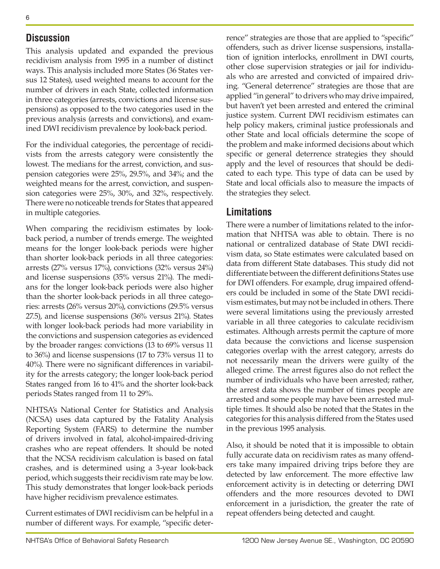### **Discussion**

This analysis updated and expanded the previous recidivism analysis from 1995 in a number of distinct ways. This analysis included more States (36 States versus 12 States), used weighted means to account for the number of drivers in each State, collected information in three categories (arrests, convictions and license suspensions) as opposed to the two categories used in the previous analysis (arrests and convictions), and examined DWI recidivism prevalence by look-back period.

For the individual categories, the percentage of recidivists from the arrests category were consistently the lowest. The medians for the arrest, conviction, and suspension categories were 25%, 29.5%, and 34%; and the weighted means for the arrest, conviction, and suspension categories were 25%, 30%, and 32%, respectively. There were no noticeable trends for States that appeared in multiple categories.

When comparing the recidivism estimates by lookback period, a number of trends emerge. The weighted means for the longer look-back periods were higher than shorter look-back periods in all three categories: arrests (27% versus 17%), convictions (32% versus 24%) and license suspensions (35% versus 21%). The medians for the longer look-back periods were also higher than the shorter look-back periods in all three categories: arrests (26% versus 20%), convictions (29.5% versus 27.5), and license suspensions (36% versus 21%). States with longer look-back periods had more variability in the convictions and suspension categories as evidenced by the broader ranges: convictions (13 to 69% versus 11 to 36%) and license suspensions (17 to 73% versus 11 to 40%). There were no significant differences in variability for the arrests category; the longer look-back period States ranged from 16 to 41% and the shorter look-back periods States ranged from 11 to 29%.

NHTSA's National Center for Statistics and Analysis (NCSA) uses data captured by the Fatality Analysis Reporting System (FARS) to determine the number of drivers involved in fatal, alcohol-impaired-driving crashes who are repeat offenders. It should be noted that the NCSA recidivism calculation is based on fatal crashes, and is determined using a 3-year look-back period, which suggests their recidivism rate may be low. This study demonstrates that longer look-back periods have higher recidivism prevalence estimates.

Current estimates of DWI recidivism can be helpful in a number of different ways. For example, "specific deterrence" strategies are those that are applied to "specific" offenders, such as driver license suspensions, installation of ignition interlocks, enrollment in DWI courts, other close supervision strategies or jail for individuals who are arrested and convicted of impaired driving. "General deterrence" strategies are those that are applied "in general" to drivers who may drive impaired, but haven't yet been arrested and entered the criminal justice system. Current DWI recidivism estimates can help policy makers, criminal justice professionals and other State and local officials determine the scope of the problem and make informed decisions about which specific or general deterrence strategies they should apply and the level of resources that should be dedicated to each type. This type of data can be used by State and local officials also to measure the impacts of the strategies they select.

## **Limitations**

There were a number of limitations related to the information that NHTSA was able to obtain. There is no national or centralized database of State DWI recidivism data, so State estimates were calculated based on data from different State databases. This study did not differentiate between the different definitions States use for DWI offenders. For example, drug impaired offenders could be included in some of the State DWI recidivism estimates, but may not be included in others. There were several limitations using the previously arrested variable in all three categories to calculate recidivism estimates. Although arrests permit the capture of more data because the convictions and license suspension categories overlap with the arrest category, arrests do not necessarily mean the drivers were guilty of the alleged crime. The arrest figures also do not reflect the number of individuals who have been arrested; rather, the arrest data shows the number of times people are arrested and some people may have been arrested multiple times. It should also be noted that the States in the categories for this analysis differed from the States used in the previous 1995 analysis.

Also, it should be noted that it is impossible to obtain fully accurate data on recidivism rates as many offenders take many impaired driving trips before they are detected by law enforcement. The more effective law enforcement activity is in detecting or deterring DWI offenders and the more resources devoted to DWI enforcement in a jurisdiction, the greater the rate of repeat offenders being detected and caught.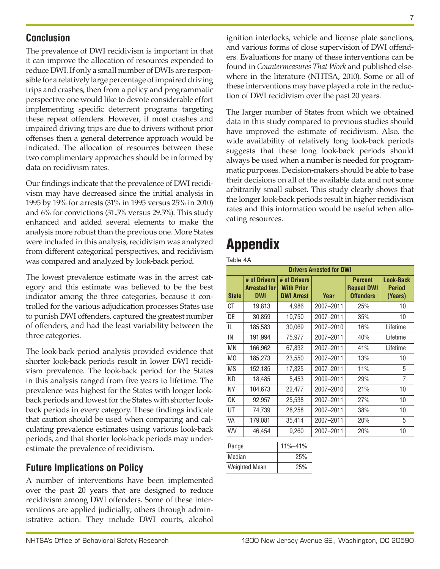# **Conclusion**

The prevalence of DWI recidivism is important in that it can improve the allocation of resources expended to reduce DWI. If only a small number of DWIs are responsible for a relatively large percentage of impaired driving trips and crashes, then from a policy and programmatic perspective one would like to devote considerable effort implementing specific deterrent programs targeting these repeat offenders. However, if most crashes and impaired driving trips are due to drivers without prior offenses then a general deterrence approach would be indicated. The allocation of resources between these two complimentary approaches should be informed by data on recidivism rates.

Our findings indicate that the prevalence of DWI recidivism may have decreased since the initial analysis in 1995 by 19% for arrests (31% in 1995 versus 25% in 2010) and 6% for convictions (31.5% versus 29.5%). This study enhanced and added several elements to make the analysis more robust than the previous one. More States were included in this analysis, recidivism was analyzed from different categorical perspectives, and recidivism was compared and analyzed by look-back period.

The lowest prevalence estimate was in the arrest category and this estimate was believed to be the best indicator among the three categories, because it controlled for the various adjudication processes States use to punish DWI offenders, captured the greatest number of offenders, and had the least variability between the three categories.

The look-back period analysis provided evidence that shorter look-back periods result in lower DWI recidivism prevalence. The look-back period for the States in this analysis ranged from five years to lifetime. The prevalence was highest for the States with longer lookback periods and lowest for the States with shorter lookback periods in every category. These findings indicate that caution should be used when comparing and calculating prevalence estimates using various look-back periods, and that shorter look-back periods may underestimate the prevalence of recidivism.

# **Future Implications on Policy**

A number of interventions have been implemented over the past 20 years that are designed to reduce recidivism among DWI offenders. Some of these interventions are applied judicially; others through administrative action. They include DWI courts, alcohol ignition interlocks, vehicle and license plate sanctions, and various forms of close supervision of DWI offenders. Evaluations for many of these interventions can be found in *Countermeasures That Work* and published elsewhere in the literature (NHTSA, 2010). Some or all of these interventions may have played a role in the reduction of DWI recidivism over the past 20 years.

The larger number of States from which we obtained data in this study compared to previous studies should have improved the estimate of recidivism. Also, the wide availability of relatively long look-back periods suggests that these long look-back periods should always be used when a number is needed for programmatic purposes. Decision-makers should be able to base their decisions on all of the available data and not some arbitrarily small subset. This study clearly shows that the longer look-back periods result in higher recidivism rates and this information would be useful when allocating resources.

# Appendix

Table 4A

| <b>Drivers Arrested for DWI</b> |                                                   |                                                        |           |                                                         |                                              |
|---------------------------------|---------------------------------------------------|--------------------------------------------------------|-----------|---------------------------------------------------------|----------------------------------------------|
| <b>State</b>                    | # of Drivers<br><b>Arrested for</b><br><b>DWI</b> | # of Drivers<br><b>With Prior</b><br><b>DWI Arrest</b> | Year      | <b>Percent</b><br><b>Repeat DWI</b><br><b>Offenders</b> | <b>Look-Back</b><br><b>Period</b><br>(Years) |
| СT                              | 19,813                                            | 4,986                                                  | 2007-2011 | 25%                                                     | 10                                           |
| DE                              | 30,859                                            | 10,750                                                 | 2007-2011 | 35%                                                     | 10                                           |
| IL.                             | 185,583                                           | 30,069                                                 | 2007-2010 | 16%                                                     | Lifetime                                     |
| IN                              | 191,994                                           | 75,977                                                 | 2007-2011 | 40%                                                     | Lifetime                                     |
| ΜN                              | 166,962                                           | 67,832                                                 | 2007-2011 | 41%                                                     | Lifetime                                     |
| M <sub>0</sub>                  | 185,273                                           | 23,550                                                 | 2007-2011 | 13%                                                     | 10                                           |
| <b>MS</b>                       | 152,185                                           | 17,325                                                 | 2007-2011 | 11%                                                     | 5                                            |
| ND                              | 18,485                                            | 5,453                                                  | 2009-2011 | 29%                                                     | 7                                            |
| <b>NY</b>                       | 104,673                                           | 22,477                                                 | 2007-2010 | 21%                                                     | 10                                           |
| 0K                              | 92,957                                            | 25,538                                                 | 2007-2011 | 27%                                                     | 10                                           |
| UT                              | 74,739                                            | 28,258                                                 | 2007-2011 | 38%                                                     | 10                                           |
| VA                              | 179,081                                           | 35,414                                                 | 2007-2011 | 20%                                                     | 5                                            |
| WV                              | 46,454                                            | 9,260                                                  | 2007-2011 | 20%                                                     | 10                                           |
| $\sim$                          |                                                   | <b>A JOI AJOI</b>                                      |           |                                                         |                                              |

| Range                | 11%-41% |
|----------------------|---------|
| Median               | 25%     |
| <b>Weighted Mean</b> | 25%     |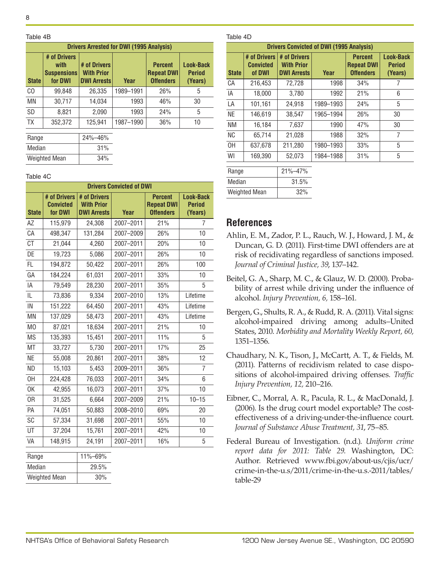Table 4B

| <b>Drivers Arrested for DWI (1995 Analysis)</b> |                                                       |                                                         |           |                                                         |                                       |  |
|-------------------------------------------------|-------------------------------------------------------|---------------------------------------------------------|-----------|---------------------------------------------------------|---------------------------------------|--|
| <b>State</b>                                    | # of Drivers<br>with<br><b>Suspensions</b><br>for DWI | # of Drivers<br><b>With Prior</b><br><b>DWI Arrests</b> | Year      | <b>Percent</b><br><b>Repeat DWI</b><br><b>Offenders</b> | Look-Back<br><b>Period</b><br>(Years) |  |
| C <sub>O</sub>                                  | 99,848                                                | 26,335                                                  | 1989-1991 | 26%                                                     | 5                                     |  |
| MN                                              | 30,717                                                | 14,034                                                  | 1993      | 46%                                                     | 30                                    |  |
| SD                                              | 8,821                                                 | 2,090                                                   | 1993      | 24%                                                     | 5                                     |  |
| TX                                              | 352,372                                               | 125,941                                                 | 1987-1990 | 36%                                                     | 10                                    |  |
| Range                                           |                                                       | 24%-46%                                                 |           |                                                         |                                       |  |
| Median                                          |                                                       | 31%                                                     |           |                                                         |                                       |  |

Table 4C

Weighted Mean 34%

| <b>Drivers Convicted of DWI</b> |                                             |                                                         |             |                                                         |                                              |
|---------------------------------|---------------------------------------------|---------------------------------------------------------|-------------|---------------------------------------------------------|----------------------------------------------|
| <b>State</b>                    | # of Drivers<br><b>Convicted</b><br>for DWI | # of Drivers<br><b>With Prior</b><br><b>DWI Arrests</b> | <b>Year</b> | <b>Percent</b><br><b>Repeat DWI</b><br><b>Offenders</b> | <b>Look-Back</b><br><b>Period</b><br>(Years) |
| AZ                              | 115,979                                     | 24,308                                                  | 2007-2011   | 21%                                                     | 7                                            |
| CA                              | 498,347                                     | 131,284                                                 | 2007-2009   | 26%                                                     | 10                                           |
| <b>CT</b>                       | 21,044                                      | 4,260                                                   | 2007-2011   | 20%                                                     | 10                                           |
| DE                              | 19,723                                      | 5,086                                                   | 2007-2011   | 26%                                                     | 10                                           |
| FL                              | 194,872                                     | 50,422                                                  | 2007-2011   | 26%                                                     | 100                                          |
| GA                              | 184,224                                     | 61,031                                                  | 2007-2011   | 33%                                                     | 10                                           |
| ΙA                              | 79,549                                      | 28,230                                                  | 2007-2011   | 35%                                                     | 5                                            |
| IL                              | 73,836                                      | 9,334                                                   | 2007-2010   | 13%                                                     | Lifetime                                     |
| IN                              | 151,222                                     | 64,450                                                  | 2007-2011   | 43%                                                     | Lifetime                                     |
| <b>MN</b>                       | 137,029                                     | 58,473                                                  | 2007-2011   | 43%                                                     | Lifetime                                     |
| M <sub>O</sub>                  | 87,021                                      | 18,634                                                  | 2007-2011   | 21%                                                     | 10                                           |
| <b>MS</b>                       | 135,393                                     | 15,451                                                  | 2007-2011   | 11%                                                     | 5                                            |
| MT                              | 33,727                                      | 5,730                                                   | 2007-2011   | 17%                                                     | 25                                           |
| <b>NE</b>                       | 55,008                                      | 20,861                                                  | 2007-2011   | 38%                                                     | 12                                           |
| <b>ND</b>                       | 15,103                                      | 5,453                                                   | 2009-2011   | 36%                                                     | 7                                            |
| OH                              | 224,428                                     | 76,033                                                  | 2007-2011   | 34%                                                     | 6                                            |
| 0K                              | 42,955                                      | 16,073                                                  | 2007-2011   | 37%                                                     | 10                                           |
| 0R                              | 31,525                                      | 6,664                                                   | 2007-2009   | 21%                                                     | $10 - 15$                                    |
| PA                              | 74,051                                      | 50,883                                                  | 2008-2010   | 69%                                                     | 20                                           |
| SC                              | 57,334                                      | 31,698                                                  | 2007-2011   | 55%                                                     | 10                                           |
| UT                              | 37,204                                      | 15,761                                                  | 2007-2011   | 42%                                                     | 10                                           |
| VA                              | 148,915                                     | 24,191                                                  | 2007-2011   | 16%                                                     | 5                                            |
| Range                           |                                             | 11%-69%                                                 |             |                                                         |                                              |
| Median                          |                                             | 29.5%                                                   |             |                                                         |                                              |
| <b>Weighted Mean</b>            |                                             | 30%                                                     |             |                                                         |                                              |

#### Table 4D

| <b>Drivers Convicted of DWI (1995 Analysis)</b> |                                     |                                                         |           |                                                         |                                       |
|-------------------------------------------------|-------------------------------------|---------------------------------------------------------|-----------|---------------------------------------------------------|---------------------------------------|
| <b>State</b>                                    | # of Drivers<br>Convicted<br>of DWI | # of Drivers<br><b>With Prior</b><br><b>DWI Arrests</b> | Year      | <b>Percent</b><br><b>Repeat DWI</b><br><b>Offenders</b> | Look-Back<br><b>Period</b><br>(Years) |
| CA                                              | 216,453                             | 72,728                                                  | 1998      | 34%                                                     |                                       |
| IA                                              | 18,000                              | 3,780                                                   | 1992      | 21%                                                     | 6                                     |
| LA                                              | 101,161                             | 24,918                                                  | 1989-1993 | 24%                                                     | 5                                     |
| <b>NE</b>                                       | 146.619                             | 38,547                                                  | 1965-1994 | 26%                                                     | 30                                    |
| ΝM                                              | 16,184                              | 7,637                                                   | 1990      | 47%                                                     | 30                                    |
| <b>NC</b>                                       | 65.714                              | 21,028                                                  | 1988      | 32%                                                     | 7                                     |
| 0H                                              | 637.678                             | 211.280                                                 | 1980-1993 | 33%                                                     | 5                                     |
| WI                                              | 169,390                             | 52,073                                                  | 1984-1988 | 31%                                                     | 5                                     |
| Range                                           |                                     | 21%-47%                                                 |           |                                                         |                                       |

| Range                | 21%-47% |
|----------------------|---------|
| Median               | 31.5%   |
| <b>Weighted Mean</b> | 32%     |

## **References**

- Ahlin, E. M., Zador, P. L., Rauch, W. J., Howard, J. M., & Duncan, G. D. (2011). First-time DWI offenders are at risk of recidivating regardless of sanctions imposed. *Journal of Criminal Justice, 39*, 137–142.
- Beitel, G. A., Sharp, M. C., & Glauz, W. D. (2000). Probability of arrest while driving under the influence of alcohol. *Injury Prevention, 6,* 158–161.
- Bergen, G., Shults, R. A., & Rudd, R. A. (2011). Vital signs: alcohol-impaired driving among adults–United States, 2010. *[Morbidity and Mortality Weekly Report](http://www.cdc.gov/mmwr), 60,* 1351–1356.
- Chaudhary, N. K., Tison, J., McCartt, A. T., & Fields, M. (2011). Patterns of recidivism related to case dispositions of alcohol-impaired driving offenses. *Traffic Injury Prevention, 12,* 210–216.
- Eibner, C., Morral, A. R., Pacula, R. L., & MacDonald, J. (2006). Is the drug court model exportable? The costeffectiveness of a driving-under-the-influence court. *Journal of Substance Abuse Treatment, 31*, 75–85.
- Federal Bureau of Investigation. (n.d.). *Uniform crime report data for 2011: Table 29*. Washington, DC: Author. Retrieved [www.fbi.gov/about-us/cjis/ucr/](http://www.fbi.gov/about-us/cjis/ucr/crime-in-the-u.s/2011/crime-in-the-u.s.-2011/tables/table-29) [crime-in-the-u.s/2011/crime-in-the-u.s.-2011/tables/](http://www.fbi.gov/about-us/cjis/ucr/crime-in-the-u.s/2011/crime-in-the-u.s.-2011/tables/table-29) [table-29](http://www.fbi.gov/about-us/cjis/ucr/crime-in-the-u.s/2011/crime-in-the-u.s.-2011/tables/table-29)